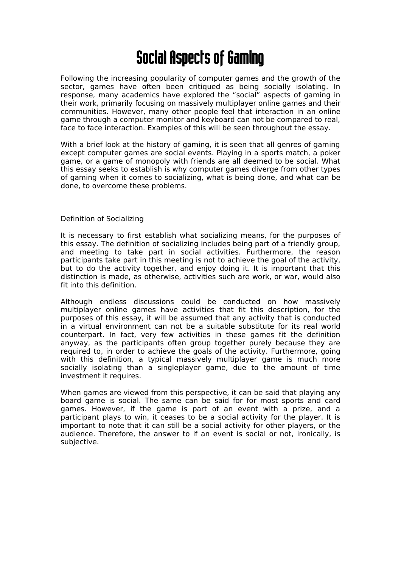# Social Aspects of Gaming

Following the increasing popularity of computer games and the growth of the sector, games have often been critiqued as being socially isolating. In response, many academics have explored the "social" aspects of gaming in their work, primarily focusing on massively multiplayer online games and their communities. However, many other people feel that interaction in an online game through a computer monitor and keyboard can not be compared to real, face to face interaction. Examples of this will be seen throughout the essay.

With a brief look at the history of gaming, it is seen that all genres of gaming except computer games are social events. Playing in a sports match, a poker game, or a game of monopoly with friends are all deemed to be social. What this essay seeks to establish is why computer games diverge from other types of gaming when it comes to socializing, what is being done, and what can be done, to overcome these problems.

# Definition of Socializing

It is necessary to first establish what socializing means, for the purposes of this essay. The definition of socializing includes being part of a friendly group, and meeting to take part in social activities. Furthermore, the reason participants take part in this meeting is not to achieve the goal of the activity, but to do the activity together, and enjoy doing it. It is important that this distinction is made, as otherwise, activities such are work, or war, would also fit into this definition.

Although endless discussions could be conducted on how massively multiplayer online games have activities that fit this description, for the purposes of this essay, it will be assumed that any activity that is conducted in a virtual environment can not be a suitable substitute for its real world counterpart. In fact, very few activities in these games fit the definition anyway, as the participants often group together purely because they are required to, in order to achieve the goals of the activity. Furthermore, going with this definition, a typical massively multiplayer game is much more socially isolating than a singleplayer game, due to the amount of time investment it requires.

When games are viewed from this perspective, it can be said that playing any board game is social. The same can be said for for most sports and card games. However, if the game is part of an event with a prize, and a participant plays to win, it ceases to be a social activity for the player. It is important to note that it can still be a social activity for other players, or the audience. Therefore, the answer to if an event is social or not, ironically, is subjective.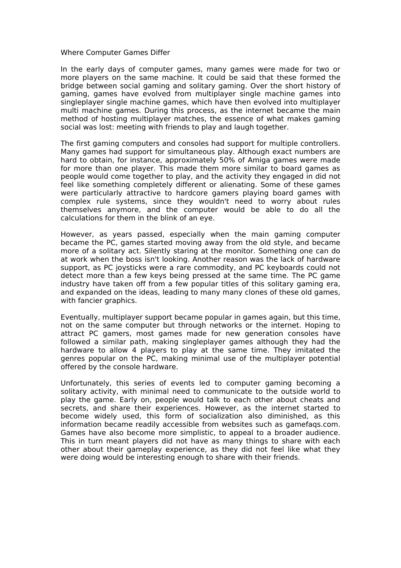#### Where Computer Games Differ

In the early days of computer games, many games were made for two or more players on the same machine. It could be said that these formed the bridge between social gaming and solitary gaming. Over the short history of gaming, games have evolved from multiplayer single machine games into singleplayer single machine games, which have then evolved into multiplayer multi machine games. During this process, as the internet became the main method of hosting multiplayer matches, the essence of what makes gaming social was lost: meeting with friends to play and laugh together.

The first gaming computers and consoles had support for multiple controllers. Many games had support for simultaneous play. Although exact numbers are hard to obtain, for instance, approximately 50% of Amiga games were made for more than one player. This made them more similar to board games as people would come together to play, and the activity they engaged in did not feel like something completely different or alienating. Some of these games were particularly attractive to hardcore gamers playing board games with complex rule systems, since they wouldn't need to worry about rules themselves anymore, and the computer would be able to do all the calculations for them in the blink of an eye.

However, as years passed, especially when the main gaming computer became the PC, games started moving away from the old style, and became more of a solitary act. Silently staring at the monitor. Something one can do at work when the boss isn't looking. Another reason was the lack of hardware support, as PC joysticks were a rare commodity, and PC keyboards could not detect more than a few keys being pressed at the same time. The PC game industry have taken off from a few popular titles of this solitary gaming era, and expanded on the ideas, leading to many many clones of these old games, with fancier graphics.

Eventually, multiplayer support became popular in games again, but this time, not on the same computer but through networks or the internet. Hoping to attract PC gamers, most games made for new generation consoles have followed a similar path, making singleplayer games although they had the hardware to allow 4 players to play at the same time. They imitated the genres popular on the PC, making minimal use of the multiplayer potential offered by the console hardware.

Unfortunately, this series of events led to computer gaming becoming a solitary activity, with minimal need to communicate to the outside world to play the game. Early on, people would talk to each other about cheats and secrets, and share their experiences. However, as the internet started to become widely used, this form of socialization also diminished, as this information became readily accessible from websites such as gamefaqs.com. Games have also become more simplistic, to appeal to a broader audience. This in turn meant players did not have as many things to share with each other about their gameplay experience, as they did not feel like what they were doing would be interesting enough to share with their friends.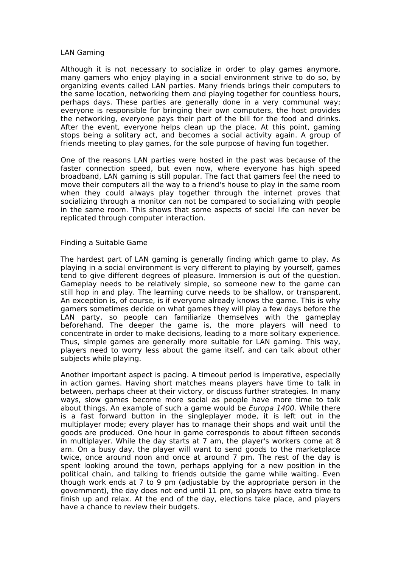## LAN Gaming

Although it is not necessary to socialize in order to play games anymore, many gamers who enjoy playing in a social environment strive to do so, by organizing events called LAN parties. Many friends brings their computers to the same location, networking them and playing together for countless hours, perhaps days. These parties are generally done in a very communal way; everyone is responsible for bringing their own computers, the host provides the networking, everyone pays their part of the bill for the food and drinks. After the event, everyone helps clean up the place. At this point, gaming stops being a solitary act, and becomes a social activity again. A group of friends meeting to play games, for the sole purpose of having fun together.

One of the reasons LAN parties were hosted in the past was because of the faster connection speed, but even now, where everyone has high speed broadband, LAN gaming is still popular. The fact that gamers feel the need to move their computers all the way to a friend's house to play in the same room when they could always play together through the internet proves that socializing through a monitor can not be compared to socializing with people in the same room. This shows that some aspects of social life can never be replicated through computer interaction.

# Finding a Suitable Game

The hardest part of LAN gaming is generally finding which game to play. As playing in a social environment is very different to playing by yourself, games tend to give different degrees of pleasure. Immersion is out of the question. Gameplay needs to be relatively simple, so someone new to the game can still hop in and play. The learning curve needs to be shallow, or transparent. An exception is, of course, is if everyone already knows the game. This is why gamers sometimes decide on what games they will play a few days before the LAN party, so people can familiarize themselves with the gameplay beforehand. The deeper the game is, the more players will need to concentrate in order to make decisions, leading to a more solitary experience. Thus, simple games are generally more suitable for LAN gaming. This way, players need to worry less about the game itself, and can talk about other subjects while playing.

Another important aspect is pacing. A timeout period is imperative, especially in action games. Having short matches means players have time to talk in between, perhaps cheer at their victory, or discuss further strategies. In many ways, slow games become more social as people have more time to talk about things. An example of such a game would be Europa 1400. While there is a fast forward button in the singleplayer mode, it is left out in the multiplayer mode; every player has to manage their shops and wait until the goods are produced. One hour in game corresponds to about fifteen seconds in multiplayer. While the day starts at 7 am, the player's workers come at 8 am. On a busy day, the player will want to send goods to the marketplace twice, once around noon and once at around 7 pm. The rest of the day is spent looking around the town, perhaps applying for a new position in the political chain, and talking to friends outside the game while waiting. Even though work ends at 7 to 9 pm (adjustable by the appropriate person in the government), the day does not end until 11 pm, so players have extra time to finish up and relax. At the end of the day, elections take place, and players have a chance to review their budgets.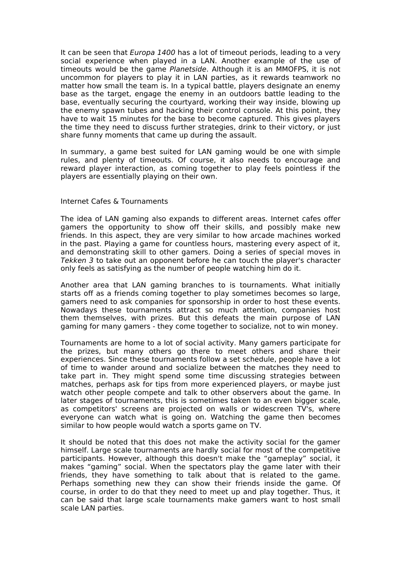It can be seen that *Europa 1400* has a lot of timeout periods, leading to a very social experience when played in a LAN. Another example of the use of timeouts would be the game Planetside. Although it is an MMOFPS, it is not uncommon for players to play it in LAN parties, as it rewards teamwork no matter how small the team is. In a typical battle, players designate an enemy base as the target, engage the enemy in an outdoors battle leading to the base, eventually securing the courtyard, working their way inside, blowing up the enemy spawn tubes and hacking their control console. At this point, they have to wait 15 minutes for the base to become captured. This gives players the time they need to discuss further strategies, drink to their victory, or just share funny moments that came up during the assault.

In summary, a game best suited for LAN gaming would be one with simple rules, and plenty of timeouts. Of course, it also needs to encourage and reward player interaction, as coming together to play feels pointless if the players are essentially playing on their own.

## Internet Cafes & Tournaments

The idea of LAN gaming also expands to different areas. Internet cafes offer gamers the opportunity to show off their skills, and possibly make new friends. In this aspect, they are very similar to how arcade machines worked in the past. Playing a game for countless hours, mastering every aspect of it, and demonstrating skill to other gamers. Doing a series of special moves in Tekken 3 to take out an opponent before he can touch the player's character only feels as satisfying as the number of people watching him do it.

Another area that LAN gaming branches to is tournaments. What initially starts off as a friends coming together to play sometimes becomes so large, gamers need to ask companies for sponsorship in order to host these events. Nowadays these tournaments attract so much attention, companies host them themselves, with prizes. But this defeats the main purpose of LAN gaming for many gamers - they come together to socialize, not to win money.

Tournaments are home to a lot of social activity. Many gamers participate for the prizes, but many others go there to meet others and share their experiences. Since these tournaments follow a set schedule, people have a lot of time to wander around and socialize between the matches they need to take part in. They might spend some time discussing strategies between matches, perhaps ask for tips from more experienced players, or maybe just watch other people compete and talk to other observers about the game. In later stages of tournaments, this is sometimes taken to an even bigger scale, as competitors' screens are projected on walls or widescreen TV's, where everyone can watch what is going on. Watching the game then becomes similar to how people would watch a sports game on TV.

It should be noted that this does not make the activity social for the gamer himself. Large scale tournaments are hardly social for most of the competitive participants. However, although this doesn't make the "gameplay" social, it makes "gaming" social. When the spectators play the game later with their friends, they have something to talk about that is related to the game. Perhaps something new they can show their friends inside the game. Of course, in order to do that they need to meet up and play together. Thus, it can be said that large scale tournaments make gamers want to host small scale LAN parties.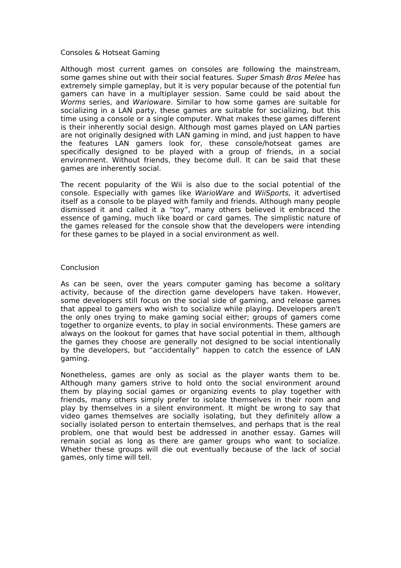## Consoles & Hotseat Gaming

Although most current games on consoles are following the mainstream, some games shine out with their social features. Super Smash Bros Melee has extremely simple gameplay, but it is very popular because of the potential fun gamers can have in a multiplayer session. Same could be said about the Worms series, and Warioware. Similar to how some games are suitable for socializing in a LAN party, these games are suitable for socializing, but this time using a console or a single computer. What makes these games different is their inherently social design. Although most games played on LAN parties are not originally designed with LAN gaming in mind, and just happen to have the features LAN gamers look for, these console/hotseat games are specifically designed to be played with a group of friends, in a social environment. Without friends, they become dull. It can be said that these games are inherently social.

The recent popularity of the Wii is also due to the social potential of the console. Especially with games like WarioWare and WiiSports, it advertised itself as a console to be played with family and friends. Although many people dismissed it and called it a "toy", many others believed it embraced the essence of gaming, much like board or card games. The simplistic nature of the games released for the console show that the developers were intending for these games to be played in a social environment as well.

#### **Conclusion**

As can be seen, over the years computer gaming has become a solitary activity, because of the direction game developers have taken. However, some developers still focus on the social side of gaming, and release games that appeal to gamers who wish to socialize while playing. Developers aren't the only ones trying to make gaming social either; groups of gamers come together to organize events, to play in social environments. These gamers are always on the lookout for games that have social potential in them, although the games they choose are generally not designed to be social intentionally by the developers, but "accidentally" happen to catch the essence of LAN gaming.

Nonetheless, games are only as social as the player wants them to be. Although many gamers strive to hold onto the social environment around them by playing social games or organizing events to play together with friends, many others simply prefer to isolate themselves in their room and play by themselves in a silent environment. It might be wrong to say that video games themselves are socially isolating, but they definitely allow a socially isolated person to entertain themselves, and perhaps that is the real problem, one that would best be addressed in another essay. Games will remain social as long as there are gamer groups who want to socialize. Whether these groups will die out eventually because of the lack of social games, only time will tell.